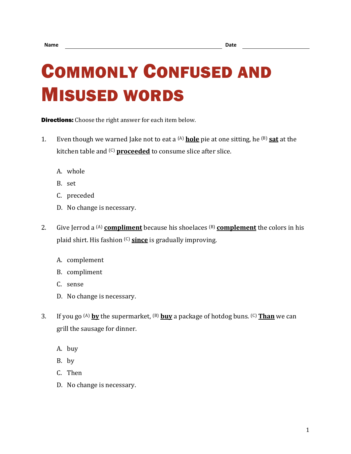## COMMONLY CONFUSED AND MISUSED WORDS

**Directions:** Choose the right answer for each item below.

- 1. Even though we warned Jake not to eat a (A) **hole** pie at one sitting, he (B) **sat** at the kitchen table and (C) **proceeded** to consume slice after slice.
	- A. whole
	- B. set
	- C. preceded
	- D. No change is necessary.
- 2. Give Jerrod a (A) **compliment** because his shoelaces (B) **complement** the colors in his plaid shirt. His fashion (C) **since** is gradually improving.
	- A. complement
	- B. compliment
	- C. sense
	- D. No change is necessary.
- 3. If you go (A) **by** the supermarket, (B) **buy** a package of hotdog buns. (C) **Than** we can grill the sausage for dinner.
	- A. buy
	- B. by
	- C. Then
	- D. No change is necessary.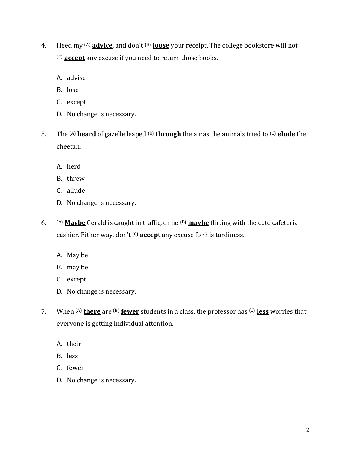- 4. Heed my (A) **advice**, and don't (B) **loose** your receipt. The college bookstore will not (C) **accept** any excuse if you need to return those books.
	- A. advise
	- B. lose
	- C. except
	- D. No change is necessary.
- 5. The (A) **heard** of gazelle leaped (B) **through** the air as the animals tried to (C) **elude** the cheetah.
	- A. herd
	- B. threw
	- C. allude
	- D. No change is necessary.
- 6. (A) **Maybe** Gerald is caught in traffic, or he (B) **maybe** flirting with the cute cafeteria cashier. Either way, don't (C) **accept** any excuse for his tardiness.
	- A. May be
	- B. may be
	- C. except
	- D. No change is necessary.
- 7. When (A) **there** are (B) **fewer** students in a class, the professor has (C) **less** worries that everyone is getting individual attention.
	- A. their
	- B. less
	- C. fewer
	- D. No change is necessary.